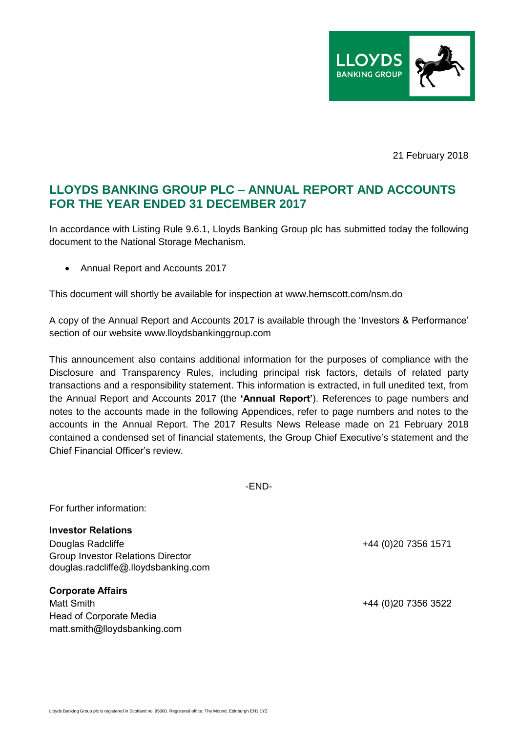

21 February 2018

# **LLOYDS BANKING GROUP PLC – ANNUAL REPORT AND ACCOUNTS FOR THE YEAR ENDED 31 DECEMBER 2017**

In accordance with Listing Rule 9.6.1, Lloyds Banking Group plc has submitted today the following document to the National Storage Mechanism.

Annual Report and Accounts 2017

This document will shortly be available for inspection at www.hemscott.com/nsm.do

A copy of the Annual Report and Accounts 2017 is available through the 'Investors & Performance' section of our website www.lloydsbankinggroup.com

This announcement also contains additional information for the purposes of compliance with the Disclosure and Transparency Rules, including principal risk factors, details of related party transactions and a responsibility statement. This information is extracted, in full unedited text, from the Annual Report and Accounts 2017 (the **'Annual Report'**). References to page numbers and notes to the accounts made in the following Appendices, refer to page numbers and notes to the accounts in the Annual Report. The 2017 Results News Release made on 21 February 2018 contained a condensed set of financial statements, the Group Chief Executive's statement and the Chief Financial Officer's review.

-END-

For further information:

**Investor Relations**

Douglas Radcliffe +44 (0)20 7356 1571 Group Investor Relations Director douglas.radcliffe@.lloydsbanking.com

**Corporate Affairs** Matt Smith +44 (0)20 7356 3522 Head of Corporate Media matt.smith@lloydsbanking.com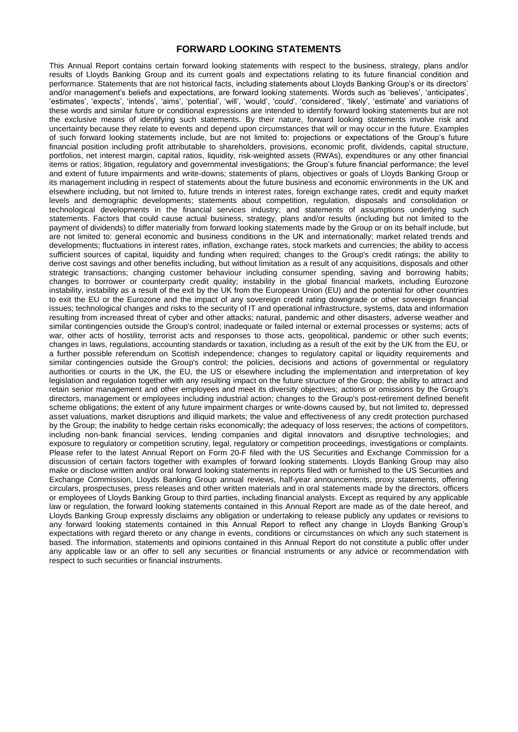# **FORWARD LOOKING STATEMENTS**

This Annual Report contains certain forward looking statements with respect to the business, strategy, plans and/or results of Lloyds Banking Group and its current goals and expectations relating to its future financial condition and performance. Statements that are not historical facts, including statements about Lloyds Banking Group's or its directors' and/or management's beliefs and expectations, are forward looking statements. Words such as 'believes', 'anticipates', 'estimates', 'expects', 'intends', 'aims', 'potential', 'will', 'would', 'could', 'considered', 'likely', 'estimate' and variations of these words and similar future or conditional expressions are intended to identify forward looking statements but are not the exclusive means of identifying such statements. By their nature, forward looking statements involve risk and uncertainty because they relate to events and depend upon circumstances that will or may occur in the future. Examples of such forward looking statements include, but are not limited to: projections or expectations of the Group's future financial position including profit attributable to shareholders, provisions, economic profit, dividends, capital structure, portfolios, net interest margin, capital ratios, liquidity, risk-weighted assets (RWAs), expenditures or any other financial items or ratios; litigation, regulatory and governmental investigations; the Group's future financial performance; the level and extent of future impairments and write-downs; statements of plans, objectives or goals of Lloyds Banking Group or its management including in respect of statements about the future business and economic environments in the UK and elsewhere including, but not limited to, future trends in interest rates, foreign exchange rates, credit and equity market levels and demographic developments; statements about competition, regulation, disposals and consolidation or technological developments in the financial services industry; and statements of assumptions underlying such statements. Factors that could cause actual business, strategy, plans and/or results (including but not limited to the payment of dividends) to differ materially from forward looking statements made by the Group or on its behalf include, but are not limited to: general economic and business conditions in the UK and internationally; market related trends and developments; fluctuations in interest rates, inflation, exchange rates, stock markets and currencies; the ability to access sufficient sources of capital, liquidity and funding when required; changes to the Group's credit ratings; the ability to derive cost savings and other benefits including, but without limitation as a result of any acquisitions, disposals and other strategic transactions; changing customer behaviour including consumer spending, saving and borrowing habits; changes to borrower or counterparty credit quality; instability in the global financial markets, including Eurozone instability, instability as a result of the exit by the UK from the European Union (EU) and the potential for other countries to exit the EU or the Eurozone and the impact of any sovereign credit rating downgrade or other sovereign financial issues; technological changes and risks to the security of IT and operational infrastructure, systems, data and information resulting from increased threat of cyber and other attacks; natural, pandemic and other disasters, adverse weather and similar contingencies outside the Group's control; inadequate or failed internal or external processes or systems; acts of war, other acts of hostility, terrorist acts and responses to those acts, geopolitical, pandemic or other such events; changes in laws, regulations, accounting standards or taxation, including as a result of the exit by the UK from the EU, or a further possible referendum on Scottish independence; changes to regulatory capital or liquidity requirements and similar contingencies outside the Group's control; the policies, decisions and actions of governmental or regulatory authorities or courts in the UK, the EU, the US or elsewhere including the implementation and interpretation of key legislation and regulation together with any resulting impact on the future structure of the Group; the ability to attract and retain senior management and other employees and meet its diversity objectives; actions or omissions by the Group's directors, management or employees including industrial action; changes to the Group's post-retirement defined benefit scheme obligations; the extent of any future impairment charges or write-downs caused by, but not limited to, depressed asset valuations, market disruptions and illiquid markets; the value and effectiveness of any credit protection purchased by the Group; the inability to hedge certain risks economically; the adequacy of loss reserves; the actions of competitors, including non-bank financial services, lending companies and digital innovators and disruptive technologies; and exposure to regulatory or competition scrutiny, legal, regulatory or competition proceedings, investigations or complaints. Please refer to the latest Annual Report on Form 20-F filed with the US Securities and Exchange Commission for a discussion of certain factors together with examples of forward looking statements. Lloyds Banking Group may also make or disclose written and/or oral forward looking statements in reports filed with or furnished to the US Securities and Exchange Commission, Lloyds Banking Group annual reviews, half-year announcements, proxy statements, offering circulars, prospectuses, press releases and other written materials and in oral statements made by the directors, officers or employees of Lloyds Banking Group to third parties, including financial analysts. Except as required by any applicable law or regulation, the forward looking statements contained in this Annual Report are made as of the date hereof, and Lloyds Banking Group expressly disclaims any obligation or undertaking to release publicly any updates or revisions to any forward looking statements contained in this Annual Report to reflect any change in Lloyds Banking Group's expectations with regard thereto or any change in events, conditions or circumstances on which any such statement is based. The information, statements and opinions contained in this Annual Report do not constitute a public offer under any applicable law or an offer to sell any securities or financial instruments or any advice or recommendation with respect to such securities or financial instruments.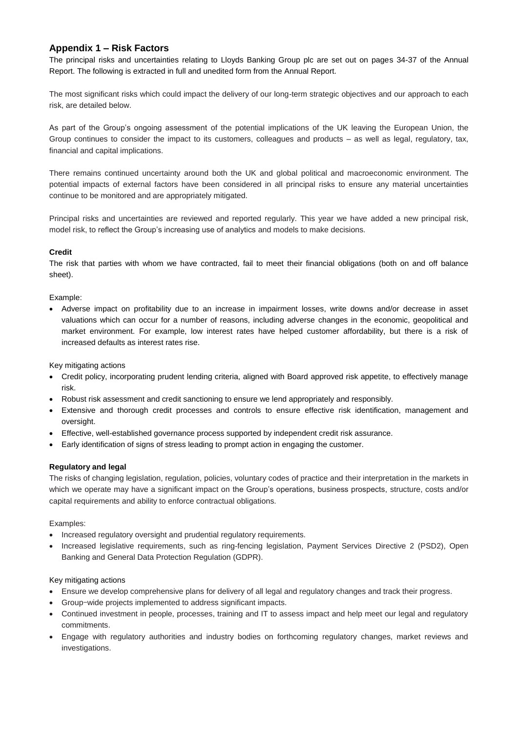# **Appendix 1 – Risk Factors**

The principal risks and uncertainties relating to Lloyds Banking Group plc are set out on pages 34-37 of the Annual Report. The following is extracted in full and unedited form from the Annual Report.

The most significant risks which could impact the delivery of our long-term strategic objectives and our approach to each risk, are detailed below.

As part of the Group's ongoing assessment of the potential implications of the UK leaving the European Union, the Group continues to consider the impact to its customers, colleagues and products – as well as legal, regulatory, tax, financial and capital implications.

There remains continued uncertainty around both the UK and global political and macroeconomic environment. The potential impacts of external factors have been considered in all principal risks to ensure any material uncertainties continue to be monitored and are appropriately mitigated.

Principal risks and uncertainties are reviewed and reported regularly. This year we have added a new principal risk, model risk, to reflect the Group's increasing use of analytics and models to make decisions.

#### **Credit**

The risk that parties with whom we have contracted, fail to meet their financial obligations (both on and off balance sheet).

#### Example:

 Adverse impact on profitability due to an increase in impairment losses, write downs and/or decrease in asset valuations which can occur for a number of reasons, including adverse changes in the economic, geopolitical and market environment. For example, low interest rates have helped customer affordability, but there is a risk of increased defaults as interest rates rise.

Key mitigating actions

- Credit policy, incorporating prudent lending criteria, aligned with Board approved risk appetite, to effectively manage risk.
- Robust risk assessment and credit sanctioning to ensure we lend appropriately and responsibly.
- Extensive and thorough credit processes and controls to ensure effective risk identification, management and oversight.
- Effective, well-established governance process supported by independent credit risk assurance.
- Early identification of signs of stress leading to prompt action in engaging the customer.

#### **Regulatory and legal**

The risks of changing legislation, regulation, policies, voluntary codes of practice and their interpretation in the markets in which we operate may have a significant impact on the Group's operations, business prospects, structure, costs and/or capital requirements and ability to enforce contractual obligations.

#### Examples:

- Increased regulatory oversight and prudential regulatory requirements.
- Increased legislative requirements, such as ring-fencing legislation, Payment Services Directive 2 (PSD2), Open Banking and General Data Protection Regulation (GDPR).

#### Key mitigating actions

- Ensure we develop comprehensive plans for delivery of all legal and regulatory changes and track their progress.
- Group-wide projects implemented to address significant impacts.
- Continued investment in people, processes, training and IT to assess impact and help meet our legal and regulatory commitments.
- Engage with regulatory authorities and industry bodies on forthcoming regulatory changes, market reviews and investigations.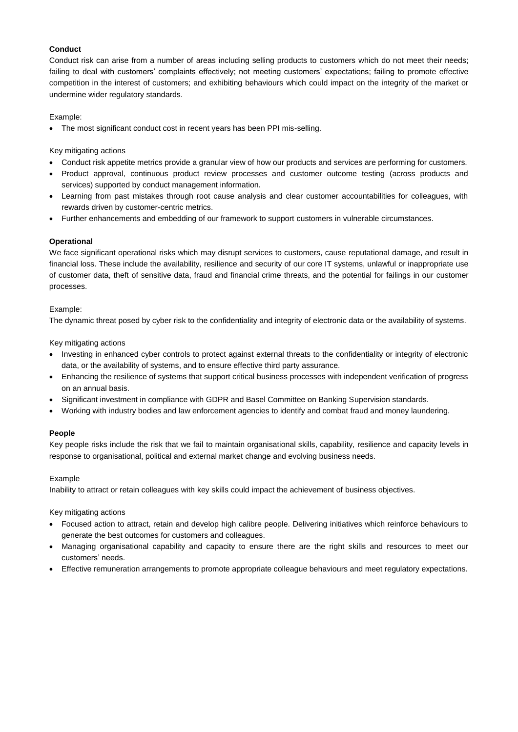# **Conduct**

Conduct risk can arise from a number of areas including selling products to customers which do not meet their needs; failing to deal with customers' complaints effectively; not meeting customers' expectations; failing to promote effective competition in the interest of customers; and exhibiting behaviours which could impact on the integrity of the market or undermine wider regulatory standards.

# Example:

The most significant conduct cost in recent years has been PPI mis-selling.

# Key mitigating actions

- Conduct risk appetite metrics provide a granular view of how our products and services are performing for customers.
- Product approval, continuous product review processes and customer outcome testing (across products and services) supported by conduct management information.
- Learning from past mistakes through root cause analysis and clear customer accountabilities for colleagues, with rewards driven by customer-centric metrics.
- Further enhancements and embedding of our framework to support customers in vulnerable circumstances.

# **Operational**

We face significant operational risks which may disrupt services to customers, cause reputational damage, and result in financial loss. These include the availability, resilience and security of our core IT systems, unlawful or inappropriate use of customer data, theft of sensitive data, fraud and financial crime threats, and the potential for failings in our customer processes.

# Example:

The dynamic threat posed by cyber risk to the confidentiality and integrity of electronic data or the availability of systems.

Key mitigating actions

- Investing in enhanced cyber controls to protect against external threats to the confidentiality or integrity of electronic data, or the availability of systems, and to ensure effective third party assurance.
- Enhancing the resilience of systems that support critical business processes with independent verification of progress on an annual basis.
- Significant investment in compliance with GDPR and Basel Committee on Banking Supervision standards.
- Working with industry bodies and law enforcement agencies to identify and combat fraud and money laundering.

#### **People**

Key people risks include the risk that we fail to maintain organisational skills, capability, resilience and capacity levels in response to organisational, political and external market change and evolving business needs.

#### Example

Inability to attract or retain colleagues with key skills could impact the achievement of business objectives.

Key mitigating actions

- Focused action to attract, retain and develop high calibre people. Delivering initiatives which reinforce behaviours to generate the best outcomes for customers and colleagues.
- Managing organisational capability and capacity to ensure there are the right skills and resources to meet our customers' needs.
- Effective remuneration arrangements to promote appropriate colleague behaviours and meet regulatory expectations.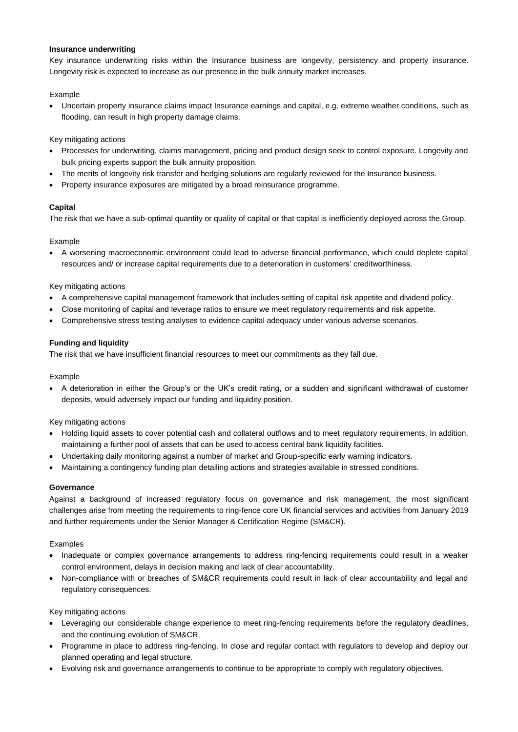#### **Insurance underwriting**

Key insurance underwriting risks within the Insurance business are longevity, persistency and property insurance. Longevity risk is expected to increase as our presence in the bulk annuity market increases.

Example

 Uncertain property insurance claims impact Insurance earnings and capital, e.g. extreme weather conditions, such as flooding, can result in high property damage claims.

#### Key mitigating actions

- Processes for underwriting, claims management, pricing and product design seek to control exposure. Longevity and bulk pricing experts support the bulk annuity proposition.
- The merits of longevity risk transfer and hedging solutions are regularly reviewed for the Insurance business.
- Property insurance exposures are mitigated by a broad reinsurance programme.

#### **Capital**

The risk that we have a sub-optimal quantity or quality of capital or that capital is inefficiently deployed across the Group.

Example

 A worsening macroeconomic environment could lead to adverse financial performance, which could deplete capital resources and/ or increase capital requirements due to a deterioration in customers' creditworthiness.

#### Key mitigating actions

- A comprehensive capital management framework that includes setting of capital risk appetite and dividend policy.
- Close monitoring of capital and leverage ratios to ensure we meet regulatory requirements and risk appetite.
- Comprehensive stress testing analyses to evidence capital adequacy under various adverse scenarios.

#### **Funding and liquidity**

The risk that we have insufficient financial resources to meet our commitments as they fall due.

Example

• A deterioration in either the Group's or the UK's credit rating, or a sudden and significant withdrawal of customer deposits, would adversely impact our funding and liquidity position.

Key mitigating actions

- Holding liquid assets to cover potential cash and collateral outflows and to meet regulatory requirements. In addition, maintaining a further pool of assets that can be used to access central bank liquidity facilities.
- Undertaking daily monitoring against a number of market and Group-specific early warning indicators.
- Maintaining a contingency funding plan detailing actions and strategies available in stressed conditions.

#### **Governance**

Against a background of increased regulatory focus on governance and risk management, the most significant challenges arise from meeting the requirements to ring-fence core UK financial services and activities from January 2019 and further requirements under the Senior Manager & Certification Regime (SM&CR).

#### Examples

- Inadequate or complex governance arrangements to address ring-fencing requirements could result in a weaker control environment, delays in decision making and lack of clear accountability.
- Non-compliance with or breaches of SM&CR requirements could result in lack of clear accountability and legal and regulatory consequences.

#### Key mitigating actions

- Leveraging our considerable change experience to meet ring-fencing requirements before the regulatory deadlines, and the continuing evolution of SM&CR.
- Programme in place to address ring-fencing. In close and regular contact with regulators to develop and deploy our planned operating and legal structure.
- Evolving risk and governance arrangements to continue to be appropriate to comply with regulatory objectives.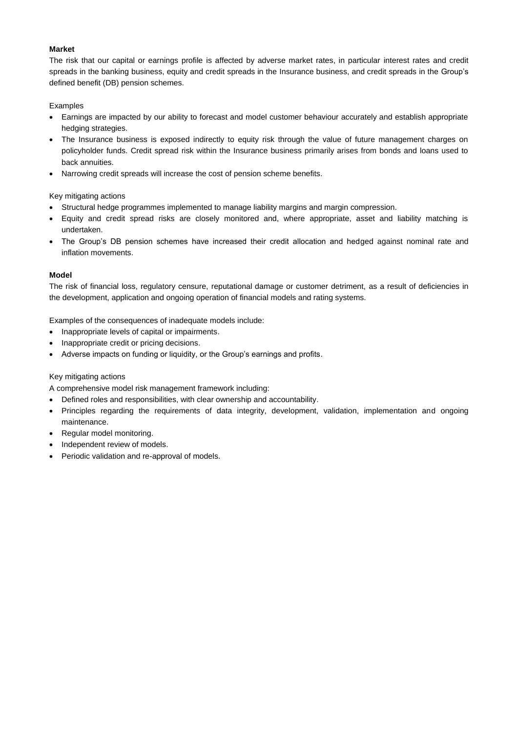### **Market**

The risk that our capital or earnings profile is affected by adverse market rates, in particular interest rates and credit spreads in the banking business, equity and credit spreads in the Insurance business, and credit spreads in the Group's defined benefit (DB) pension schemes.

# Examples

- Earnings are impacted by our ability to forecast and model customer behaviour accurately and establish appropriate hedging strategies.
- The Insurance business is exposed indirectly to equity risk through the value of future management charges on policyholder funds. Credit spread risk within the Insurance business primarily arises from bonds and loans used to back annuities.
- Narrowing credit spreads will increase the cost of pension scheme benefits.

Key mitigating actions

- Structural hedge programmes implemented to manage liability margins and margin compression.
- Equity and credit spread risks are closely monitored and, where appropriate, asset and liability matching is undertaken.
- The Group's DB pension schemes have increased their credit allocation and hedged against nominal rate and inflation movements.

# **Model**

The risk of financial loss, regulatory censure, reputational damage or customer detriment, as a result of deficiencies in the development, application and ongoing operation of financial models and rating systems.

Examples of the consequences of inadequate models include:

- Inappropriate levels of capital or impairments.
- Inappropriate credit or pricing decisions.
- Adverse impacts on funding or liquidity, or the Group's earnings and profits.

#### Key mitigating actions

A comprehensive model risk management framework including:

- Defined roles and responsibilities, with clear ownership and accountability.
- Principles regarding the requirements of data integrity, development, validation, implementation and ongoing maintenance.
- Regular model monitoring.
- Independent review of models.
- Periodic validation and re-approval of models.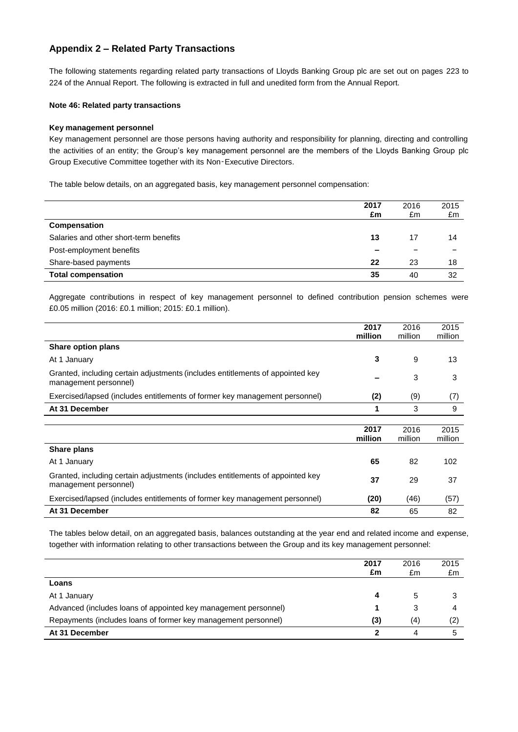# **Appendix 2 – Related Party Transactions**

The following statements regarding related party transactions of Lloyds Banking Group plc are set out on pages 223 to 224 of the Annual Report. The following is extracted in full and unedited form from the Annual Report.

#### **Note 46: Related party transactions**

#### **Key management personnel**

Key management personnel are those persons having authority and responsibility for planning, directing and controlling the activities of an entity; the Group's key management personnel are the members of the Lloyds Banking Group plc Group Executive Committee together with its Non‑Executive Directors.

The table below details, on an aggregated basis, key management personnel compensation:

|                                        | 2017<br>£m | 2016<br>£m | 2015<br>£m |
|----------------------------------------|------------|------------|------------|
| <b>Compensation</b>                    |            |            |            |
| Salaries and other short-term benefits | 13         | 17         | 14         |
| Post-employment benefits               |            |            |            |
| Share-based payments                   | 22         | 23         | 18         |
| <b>Total compensation</b>              | 35         | 40         | 32         |

Aggregate contributions in respect of key management personnel to defined contribution pension schemes were £0.05 million (2016: £0.1 million; 2015: £0.1 million).

|                                                                                                         | 2017<br>million | 2016<br>million | 2015<br>million |
|---------------------------------------------------------------------------------------------------------|-----------------|-----------------|-----------------|
| Share option plans                                                                                      |                 |                 |                 |
| At 1 January                                                                                            | 3               | 9               | 13              |
| Granted, including certain adjustments (includes entitlements of appointed key<br>management personnel) |                 | 3               | 3               |
| Exercised/lapsed (includes entitlements of former key management personnel)                             | (2)             | (9)             | (7)             |
| At 31 December                                                                                          | 1               | 3               | 9               |
|                                                                                                         |                 |                 |                 |
|                                                                                                         | 2017<br>million | 2016<br>million | 2015<br>million |
| Share plans                                                                                             |                 |                 |                 |
| At 1 January                                                                                            | 65              | 82              | 102             |
| Granted, including certain adjustments (includes entitlements of appointed key<br>management personnel) | 37              | 29              | 37              |
| Exercised/lapsed (includes entitlements of former key management personnel)                             | (20)            | (46)            | (57)            |
| At 31 December                                                                                          | 82              | 65              | 82              |

The tables below detail, on an aggregated basis, balances outstanding at the year end and related income and expense, together with information relating to other transactions between the Group and its key management personnel:

|                                                                 | 2017<br>£m | 2016<br>£m | 2015<br>£m |
|-----------------------------------------------------------------|------------|------------|------------|
| Loans                                                           |            |            |            |
| At 1 January                                                    |            | 5          |            |
| Advanced (includes loans of appointed key management personnel) |            | 3          | 4          |
| Repayments (includes loans of former key management personnel)  | (3)        | (4)        | (2)        |
| At 31 December                                                  |            | 4          |            |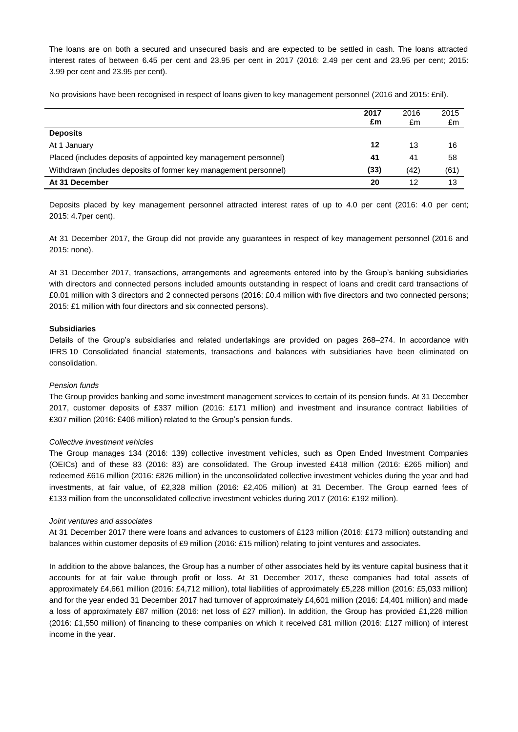The loans are on both a secured and unsecured basis and are expected to be settled in cash. The loans attracted interest rates of between 6.45 per cent and 23.95 per cent in 2017 (2016: 2.49 per cent and 23.95 per cent; 2015: 3.99 per cent and 23.95 per cent).

No provisions have been recognised in respect of loans given to key management personnel (2016 and 2015: £nil).

|                                                                  | 2017<br>£m | 2016<br>£m | 2015<br>£m |
|------------------------------------------------------------------|------------|------------|------------|
| <b>Deposits</b>                                                  |            |            |            |
| At 1 January                                                     | 12         | 13         | 16         |
| Placed (includes deposits of appointed key management personnel) | 41         | 41         | 58         |
| Withdrawn (includes deposits of former key management personnel) | (33)       | (42)       | (61)       |
| At 31 December                                                   | 20         | 12         | 13         |

Deposits placed by key management personnel attracted interest rates of up to 4.0 per cent (2016: 4.0 per cent; 2015: 4.7per cent).

At 31 December 2017, the Group did not provide any guarantees in respect of key management personnel (2016 and 2015: none).

At 31 December 2017, transactions, arrangements and agreements entered into by the Group's banking subsidiaries with directors and connected persons included amounts outstanding in respect of loans and credit card transactions of £0.01 million with 3 directors and 2 connected persons (2016: £0.4 million with five directors and two connected persons; 2015: £1 million with four directors and six connected persons).

#### **Subsidiaries**

Details of the Group's subsidiaries and related undertakings are provided on pages 268–274. In accordance with IFRS 10 Consolidated financial statements, transactions and balances with subsidiaries have been eliminated on consolidation.

#### *Pension funds*

The Group provides banking and some investment management services to certain of its pension funds. At 31 December 2017, customer deposits of £337 million (2016: £171 million) and investment and insurance contract liabilities of £307 million (2016: £406 million) related to the Group's pension funds.

#### *Collective investment vehicles*

The Group manages 134 (2016: 139) collective investment vehicles, such as Open Ended Investment Companies (OEICs) and of these 83 (2016: 83) are consolidated. The Group invested £418 million (2016: £265 million) and redeemed £616 million (2016: £826 million) in the unconsolidated collective investment vehicles during the year and had investments, at fair value, of £2,328 million (2016: £2,405 million) at 31 December. The Group earned fees of £133 million from the unconsolidated collective investment vehicles during 2017 (2016: £192 million).

#### *Joint ventures and associates*

At 31 December 2017 there were loans and advances to customers of £123 million (2016: £173 million) outstanding and balances within customer deposits of £9 million (2016: £15 million) relating to joint ventures and associates.

In addition to the above balances, the Group has a number of other associates held by its venture capital business that it accounts for at fair value through profit or loss. At 31 December 2017, these companies had total assets of approximately £4,661 million (2016: £4,712 million), total liabilities of approximately £5,228 million (2016: £5,033 million) and for the year ended 31 December 2017 had turnover of approximately £4,601 million (2016: £4,401 million) and made a loss of approximately £87 million (2016: net loss of £27 million). In addition, the Group has provided £1,226 million (2016: £1,550 million) of financing to these companies on which it received £81 million (2016: £127 million) of interest income in the year.